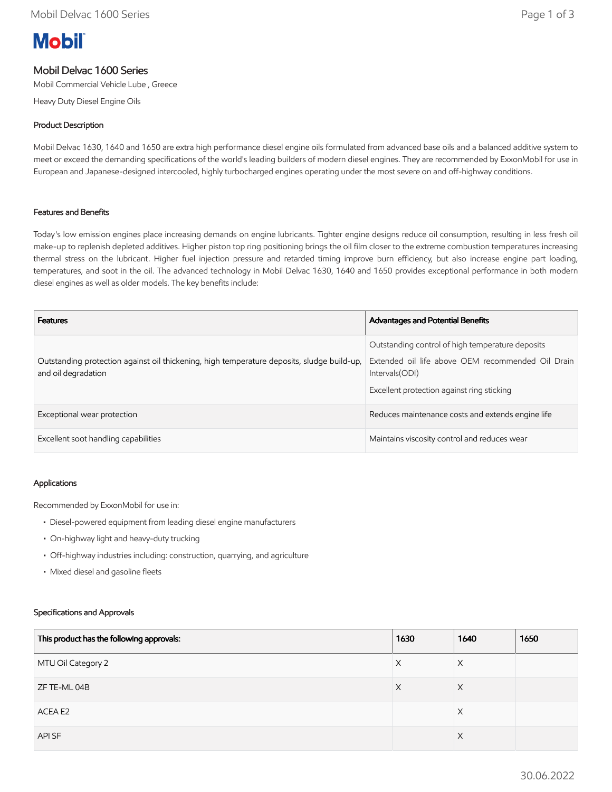# **Mobil**

## Mobil Delvac 1600 Series

Mobil Commercial Vehicle Lube , Greece

Heavy Duty Diesel Engine Oils

#### Product Description

Mobil Delvac 1630, 1640 and 1650 are extra high performance diesel engine oils formulated from advanced base oils and a balanced additive system to meet or exceed the demanding specifications of the world's leading builders of modern diesel engines. They are recommended by ExxonMobil for use in European and Japanese-designed intercooled, highly turbocharged engines operating under the most severe on and off-highway conditions.

#### Features and Benefits

Today's low emission engines place increasing demands on engine lubricants. Tighter engine designs reduce oil consumption, resulting in less fresh oil make-up to replenish depleted additives. Higher piston top ring positioning brings the oil film closer to the extreme combustion temperatures increasing thermal stress on the lubricant. Higher fuel injection pressure and retarded timing improve burn efficiency, but also increase engine part loading, temperatures, and soot in the oil. The advanced technology in Mobil Delvac 1630, 1640 and 1650 provides exceptional performance in both modern diesel engines as well as older models. The key benefits include:

| <b>Features</b>                                                                                                   | <b>Advantages and Potential Benefits</b>                                                                                                                               |
|-------------------------------------------------------------------------------------------------------------------|------------------------------------------------------------------------------------------------------------------------------------------------------------------------|
| Outstanding protection against oil thickening, high temperature deposits, sludge build-up,<br>and oil degradation | Outstanding control of high temperature deposits<br>Extended oil life above OEM recommended Oil Drain<br>Intervals (ODI)<br>Excellent protection against ring sticking |
| Exceptional wear protection                                                                                       | Reduces maintenance costs and extends engine life                                                                                                                      |
| Excellent soot handling capabilities                                                                              | Maintains viscosity control and reduces wear                                                                                                                           |

#### Applications

Recommended by ExxonMobil for use in:

- Diesel-powered equipment from leading diesel engine manufacturers
- On-highway light and heavy-duty trucking
- Off-highway industries including: construction, quarrying, and agriculture
- Mixed diesel and gasoline fleets

#### Specifications and Approvals

| This product has the following approvals: | 1630 | 1640     | 1650 |
|-------------------------------------------|------|----------|------|
| MTU Oil Category 2                        | X    | X        |      |
| ZF TE-ML 04B                              | X    | X        |      |
| ACEA E2                                   |      | X        |      |
| API SF                                    |      | $\times$ |      |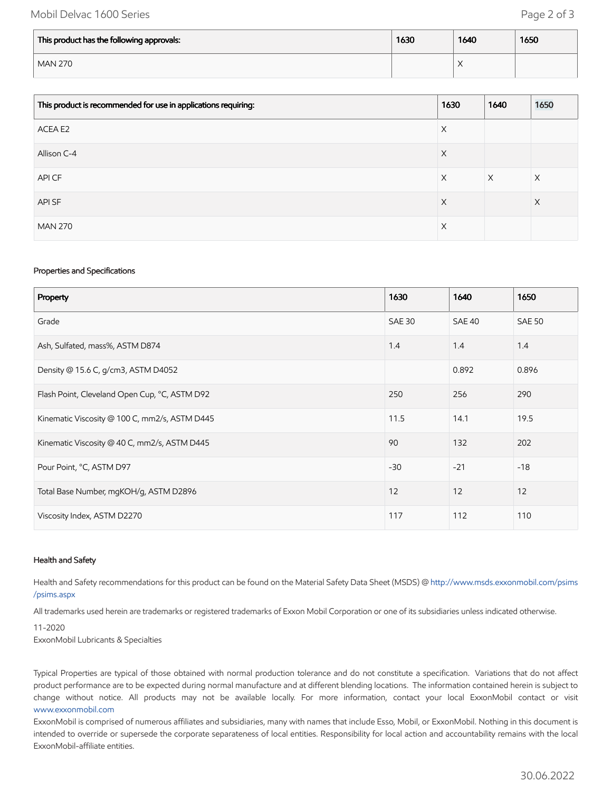### Mobil Delvac 1600 Series **Page 2 of 3**

| This product has the following approvals: | 1630 | 1640                   | 1650 |
|-------------------------------------------|------|------------------------|------|
| <b>MAN 270</b>                            |      | $\lambda$<br>$\lambda$ |      |

| This product is recommended for use in applications requiring: | 1630 | 1640     | 1650 |
|----------------------------------------------------------------|------|----------|------|
| ACEA E2                                                        | X    |          |      |
| Allison C-4                                                    | X    |          |      |
| API CF                                                         | X    | $\times$ | X    |
| API SF                                                         | X    |          | X    |
| <b>MAN 270</b>                                                 | X    |          |      |

#### Properties and Specifications

| Property                                      | 1630          | 1640   | 1650          |
|-----------------------------------------------|---------------|--------|---------------|
| Grade                                         | <b>SAE 30</b> | SAE 40 | <b>SAE 50</b> |
| Ash, Sulfated, mass%, ASTM D874               | 1.4           | 1.4    | 1.4           |
| Density @ 15.6 C, g/cm3, ASTM D4052           |               | 0.892  | 0.896         |
| Flash Point, Cleveland Open Cup, °C, ASTM D92 | 250           | 256    | 290           |
| Kinematic Viscosity @ 100 C, mm2/s, ASTM D445 | 11.5          | 14.1   | 19.5          |
| Kinematic Viscosity @ 40 C, mm2/s, ASTM D445  | 90            | 132    | 202           |
| Pour Point, °C, ASTM D97                      | $-30$         | $-21$  | $-18$         |
| Total Base Number, mgKOH/g, ASTM D2896        | 12            | 12     | 12            |
| Viscosity Index, ASTM D2270                   | 117           | 112    | 110           |

#### Health and Safety

Health and Safety recommendations for this product can be found on the Material Safety Data Sheet (MSDS) @ [http://www.msds.exxonmobil.com/psims](http://www.msds.exxonmobil.com/psims/psims.aspx) /psims.aspx

All trademarks used herein are trademarks or registered trademarks of Exxon Mobil Corporation or one of its subsidiaries unless indicated otherwise.

#### 11-2020 ExxonMobil Lubricants & Specialties

Typical Properties are typical of those obtained with normal production tolerance and do not constitute a specification. Variations that do not affect product performance are to be expected during normal manufacture and at different blending locations. The information contained herein is subject to change without notice. All products may not be available locally. For more information, contact your local ExxonMobil contact or visit [www.exxonmobil.com](http://www.exxonmobil.com/)

ExxonMobil is comprised of numerous affiliates and subsidiaries, many with names that include Esso, Mobil, or ExxonMobil. Nothing in this document is intended to override or supersede the corporate separateness of local entities. Responsibility for local action and accountability remains with the local ExxonMobil-affiliate entities.